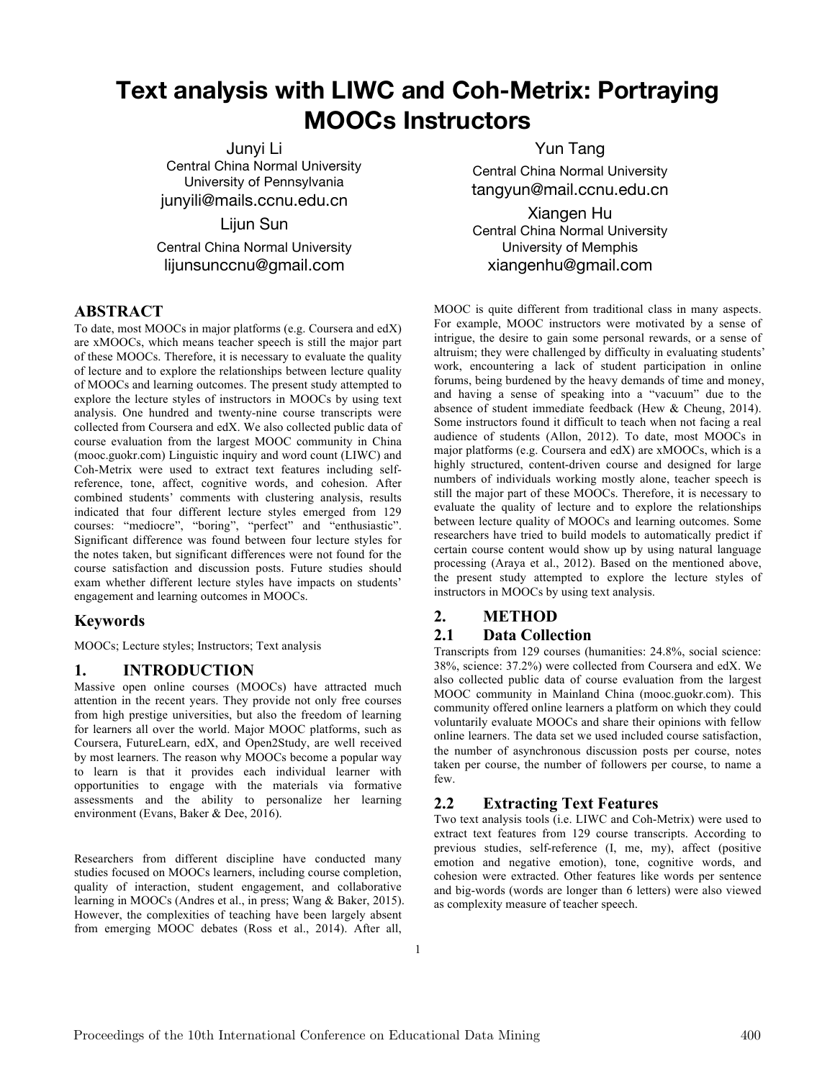# **Text analysis with LIWC and Coh-Metrix: Portraying MOOCs Instructors**

Junyi Li Central China Normal University University of Pennsylvania junyili@mails.ccnu.edu.cn

Lijun Sun Central China Normal University lijunsunccnu@gmail.com

## **ABSTRACT**

To date, most MOOCs in major platforms (e.g. Coursera and edX) are xMOOCs, which means teacher speech is still the major part of these MOOCs. Therefore, it is necessary to evaluate the quality of lecture and to explore the relationships between lecture quality of MOOCs and learning outcomes. The present study attempted to explore the lecture styles of instructors in MOOCs by using text analysis. One hundred and twenty-nine course transcripts were collected from Coursera and edX. We also collected public data of course evaluation from the largest MOOC community in China (mooc.guokr.com) Linguistic inquiry and word count (LIWC) and Coh-Metrix were used to extract text features including selfreference, tone, affect, cognitive words, and cohesion. After combined students' comments with clustering analysis, results indicated that four different lecture styles emerged from 129 courses: "mediocre", "boring", "perfect" and "enthusiastic". Significant difference was found between four lecture styles for the notes taken, but significant differences were not found for the course satisfaction and discussion posts. Future studies should exam whether different lecture styles have impacts on students' engagement and learning outcomes in MOOCs.

## **Keywords**

MOOCs; Lecture styles; Instructors; Text analysis

## **1. INTRODUCTION**

Massive open online courses (MOOCs) have attracted much attention in the recent years. They provide not only free courses from high prestige universities, but also the freedom of learning for learners all over the world. Major MOOC platforms, such as Coursera, FutureLearn, edX, and Open2Study, are well received by most learners. The reason why MOOCs become a popular way to learn is that it provides each individual learner with opportunities to engage with the materials via formative assessments and the ability to personalize her learning environment (Evans, Baker & Dee, 2016).

Researchers from different discipline have conducted many studies focused on MOOCs learners, including course completion, quality of interaction, student engagement, and collaborative learning in MOOCs (Andres et al., in press; Wang & Baker, 2015). However, the complexities of teaching have been largely absent from emerging MOOC debates (Ross et al., 2014). After all,

Yun Tang Central China Normal University tangyun@mail.ccnu.edu.cn

Xiangen Hu Central China Normal University University of Memphis xiangenhu@gmail.com

MOOC is quite different from traditional class in many aspects. For example, MOOC instructors were motivated by a sense of intrigue, the desire to gain some personal rewards, or a sense of altruism; they were challenged by difficulty in evaluating students' work, encountering a lack of student participation in online forums, being burdened by the heavy demands of time and money, and having a sense of speaking into a "vacuum" due to the absence of student immediate feedback (Hew & Cheung, 2014). Some instructors found it difficult to teach when not facing a real audience of students (Allon, 2012). To date, most MOOCs in major platforms (e.g. Coursera and edX) are xMOOCs, which is a highly structured, content-driven course and designed for large numbers of individuals working mostly alone, teacher speech is still the major part of these MOOCs. Therefore, it is necessary to evaluate the quality of lecture and to explore the relationships between lecture quality of MOOCs and learning outcomes. Some researchers have tried to build models to automatically predict if certain course content would show up by using natural language processing (Araya et al., 2012). Based on the mentioned above, the present study attempted to explore the lecture styles of instructors in MOOCs by using text analysis.

## **2. METHOD**

### **2.1 Data Collection**

Transcripts from 129 courses (humanities: 24.8%, social science: 38%, science: 37.2%) were collected from Coursera and edX. We also collected public data of course evaluation from the largest MOOC community in Mainland China (mooc.guokr.com). This community offered online learners a platform on which they could voluntarily evaluate MOOCs and share their opinions with fellow online learners. The data set we used included course satisfaction, the number of asynchronous discussion posts per course, notes taken per course, the number of followers per course, to name a few.

## **2.2 Extracting Text Features**

Two text analysis tools (i.e. LIWC and Coh-Metrix) were used to extract text features from 129 course transcripts. According to previous studies, self-reference (I, me, my), affect (positive emotion and negative emotion), tone, cognitive words, and cohesion were extracted. Other features like words per sentence and big-words (words are longer than 6 letters) were also viewed as complexity measure of teacher speech.